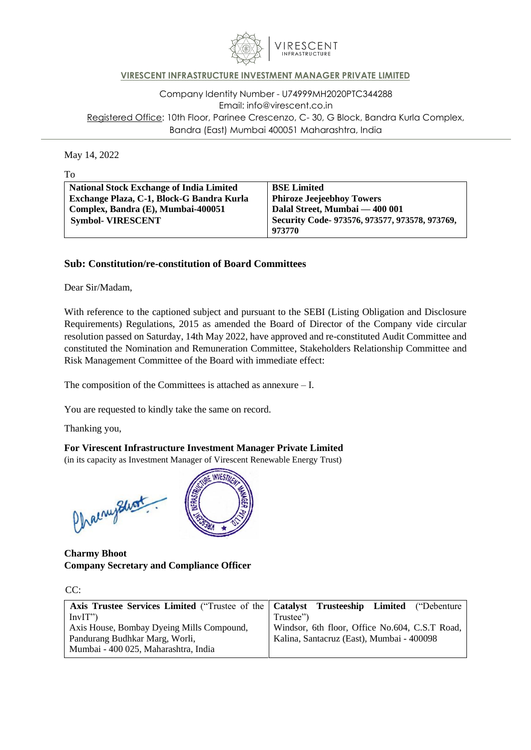

## **VIRESCENT INFRASTRUCTURE INVESTMENT MANAGER PRIVATE LIMITED**

Company Identity Number - U74999MH2020PTC344288 Email: [info@virescent.co.in](mailto:info@virescent.co.in) Registered Office: 10th Floor, Parinee Crescenzo, C- 30, G Block, Bandra Kurla Complex, Bandra (East) Mumbai 400051 Maharashtra, India

May 14, 2022

**National Stock Exchange of India Limited Exchange Plaza, C-1, Block-G Bandra Kurla Complex, Bandra (E), Mumbai-400051 Symbol- VIRESCENT BSE Limited Phiroze Jeejeebhoy Towers Dalal Street, Mumbai — 400 001 Security Code- 973576, 973577, 973578, 973769, 973770**

### **Sub: Constitution/re-constitution of Board Committees**

Dear Sir/Madam,

With reference to the captioned subject and pursuant to the SEBI (Listing Obligation and Disclosure Requirements) Regulations, 2015 as amended the Board of Director of the Company vide circular resolution passed on Saturday, 14th May 2022, have approved and re-constituted Audit Committee and constituted the Nomination and Remuneration Committee, Stakeholders Relationship Committee and Risk Management Committee of the Board with immediate effect:

The composition of the Committees is attached as annexure – I.

You are requested to kindly take the same on record.

Thanking you,

#### **For Virescent Infrastructure Investment Manager Private Limited**

(in its capacity as Investment Manager of Virescent Renewable Energy Trust)

Chaenephont



**Charmy Bhoot Company Secretary and Compliance Officer**

| w<br>٧<br>v |  |
|-------------|--|
|             |  |

| Axis Trustee Services Limited ("Trustee of the   Catalyst Trusteeship Limited ("Debenture") |                                                |
|---------------------------------------------------------------------------------------------|------------------------------------------------|
| InvIT")                                                                                     | Trustee")                                      |
| Axis House, Bombay Dyeing Mills Compound,                                                   | Windsor, 6th floor, Office No.604, C.S.T Road, |
| Kalina, Santacruz (East), Mumbai - 400098<br>Pandurang Budhkar Marg, Worli,                 |                                                |
| Mumbai - 400 025, Maharashtra, India                                                        |                                                |

To